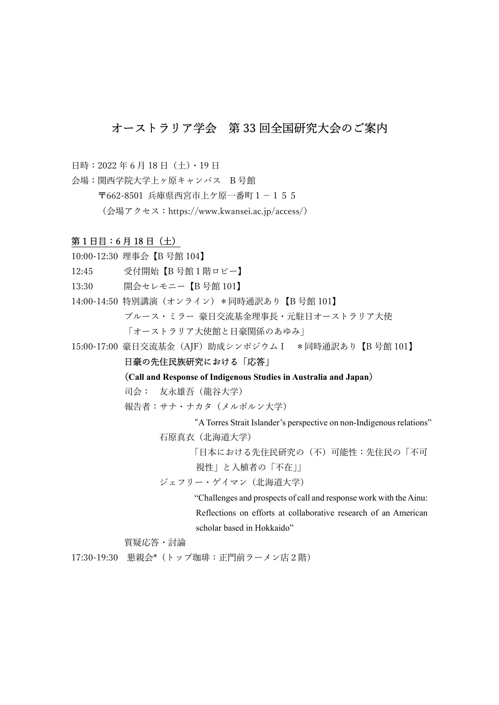# オーストラリア学会 第 33 回全国研究大会のご案内

- 日時:2022 年 6 月 18 日(土)・19 日
- 会場:関西学院大学上ヶ原キャンパス B 号館 〒662-8501 兵庫県西宮市上ケ原一番町 1-155 (会場アクセス:https://www.kwansei.ac.jp/access/)

#### 第1日目:6月18日(土)

- 10:00-12:30 理事会【B 号館 104】
- 12:45 受付開始【B 号館1階ロビー】
- 13:30 開会セレモニー【B 号館 101】
- 14:00-14:50 特別講演 (オンライン) \*同時通訳あり【B 号館 101】 ブルース・ミラー 豪日交流基金理事⾧・元駐日オーストラリア大使
	- 「オーストラリア大使館と日豪関係のあゆみ」
- 15:00-17:00 豪日交流基金(AJF)助成シンポジウムⅠ \*同時通訳あり【B 号館 101】

## 日豪の先住民族研究における「応答」

(Call and Response of Indigenous Studies in Australia and Japan)

司会: 友永雄吾(龍谷大学)

報告者:サナ・ナカタ(メルボルン大学)

"A Torres Strait Islander's perspective on non-Indigenous relations"

石原真衣(北海道大学)

「日本における先住民研究の(不)可能性:先住民の「不可

視性」と入植者の「不在」」

ジェフリー・ゲイマン(北海道大学)

"Challenges and prospects of call and response work with the Ainu: Reflections on efforts at collaborative research of an American scholar based in Hokkaido"

質疑応答・討論

17:30-19:30 懇親会\*(トップ珈琲:正門前ラーメン店2階)